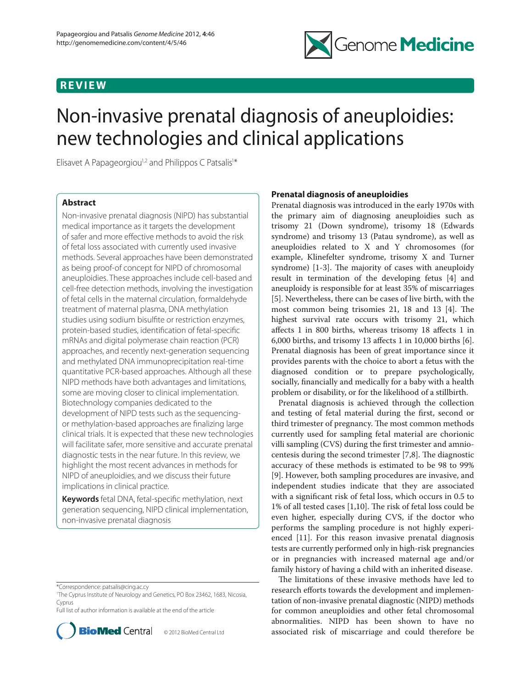# Genome Medicine

### **REVIEW**

## Non-invasive prenatal diagnosis of aneuploidies: new technologies and clinical applications

Elisavet A Papageorgiou<sup>1,2</sup> and Philippos C Patsalis<sup>1\*</sup>

#### **Abstract**

Non-invasive prenatal diagnosis (NIPD) has substantial medical importance as it targets the development of safer and more effective methods to avoid the risk of fetal loss associated with currently used invasive methods. Several approaches have been demonstrated as being proof-of concept for NIPD of chromosomal aneuploidies. These approaches include cell-based and cell-free detection methods, involving the investigation of fetal cells in the maternal circulation, formaldehyde treatment of maternal plasma, DNA methylation studies using sodium bisulfite or restriction enzymes, protein-based studies, identification of fetal-specific mRNAs and digital polymerase chain reaction (PCR) approaches, and recently next-generation sequencing and methylated DNA immunoprecipitation real-time quantitative PCR-based approaches. Although all these NIPD methods have both advantages and limitations, some are moving closer to clinical implementation. Biotechnology companies dedicated to the development of NIPD tests such as the sequencingor methylation-based approaches are finalizing large clinical trials. It is expected that these new technologies will facilitate safer, more sensitive and accurate prenatal diagnostic tests in the near future. In this review, we highlight the most recent advances in methods for NIPD of aneuploidies, and we discuss their future implications in clinical practice.

**Keywords** fetal DNA, fetal-specific methylation, next generation sequencing, NIPD clinical implementation, non-invasive prenatal diagnosis

1 The Cyprus Institute of Neurology and Genetics, PO Box 23462, 1683, Nicosia, Cyprus

Full list of author information is available at the end of the article



© 2012 BioMed Central Ltd

#### **Prenatal diagnosis of aneuploidies**

Prenatal diagnosis was introduced in the early 1970s with the primary aim of diagnosing aneuploidies such as trisomy 21 (Down syndrome), trisomy 18 (Edwards syndrome) and trisomy 13 (Patau syndrome), as well as aneuploidies related to X and Y chromosomes (for example, Klinefelter syndrome, trisomy X and Turner syndrome)  $[1-3]$ . The majority of cases with aneuploidy result in termination of the developing fetus [4] and aneuploidy is responsible for at least 35% of miscarriages [5]. Nevertheless, there can be cases of live birth, with the most common being trisomies 21, 18 and 13  $[4]$ . The highest survival rate occurs with trisomy 21, which affects 1 in 800 births, whereas trisomy 18 affects 1 in 6,000 births, and trisomy 13 affects 1 in 10,000 births  $[6]$ . Prenatal diagnosis has been of great importance since it provides parents with the choice to abort a fetus with the diagnosed condition or to prepare psychologically, socially, financially and medically for a baby with a health problem or disability, or for the likelihood of a stillbirth.

Prenatal diagnosis is achieved through the collection and testing of fetal material during the first, second or third trimester of pregnancy. The most common methods currently used for sampling fetal material are chorionic villi sampling  $(CVS)$  during the first trimester and amniocentesis during the second trimester  $[7,8]$ . The diagnostic accuracy of these methods is estimated to be 98 to 99% [9]. However, both sampling procedures are invasive, and independent studies indicate that they are associated with a significant risk of fetal loss, which occurs in 0.5 to 1% of all tested cases  $[1,10]$ . The risk of fetal loss could be even higher, especially during CVS, if the doctor who performs the sampling procedure is not highly experienced [11]. For this reason invasive prenatal diagnosis tests are currently performed only in high-risk pregnancies or in pregnancies with increased maternal age and/or family history of having a child with an inherited disease.

The limitations of these invasive methods have led to research efforts towards the development and implementation of non-invasive prenatal diagnostic (NIPD) methods for common aneuploidies and other fetal chromosomal abnormalities. NIPD has been shown to have no associated risk of miscarriage and could therefore be

<sup>\*</sup>Correspondence: patsalis@cing.ac.cy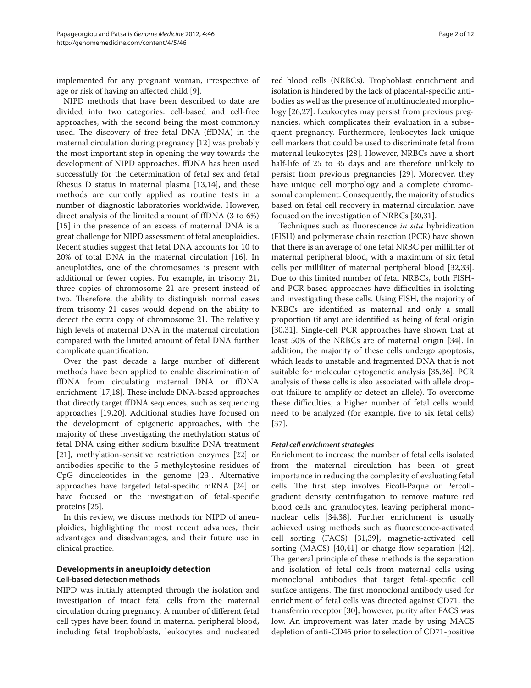implemented for any pregnant woman, irrespective of age or risk of having an affected child [9].

NIPD methods that have been described to date are divided into two categories: cell-based and cell-free approaches, with the second being the most commonly used. The discovery of free fetal DNA (ffDNA) in the maternal circulation during pregnancy [12] was probably the most important step in opening the way towards the development of NIPD approaches. ffDNA has been used successfully for the determination of fetal sex and fetal Rhesus D status in maternal plasma [13,14], and these methods are currently applied as routine tests in a number of diagnostic laboratories worldwide. However, direct analysis of the limited amount of ffDNA (3 to 6%) [15] in the presence of an excess of maternal DNA is a great challenge for NIPD assessment of fetal aneuploidies. Recent studies suggest that fetal DNA accounts for 10 to 20% of total DNA in the maternal circulation [16]. In aneuploidies, one of the chromosomes is present with additional or fewer copies. For example, in trisomy 21, three copies of chromosome 21 are present instead of two. Therefore, the ability to distinguish normal cases from trisomy 21 cases would depend on the ability to detect the extra copy of chromosome 21. The relatively high levels of maternal DNA in the maternal circulation compared with the limited amount of fetal DNA further complicate quantification.

Over the past decade a large number of different methods have been applied to enable discrimination of ffDNA from circulating maternal DNA or ffDNA enrichment [17,18]. These include DNA-based approaches that directly target ffDNA sequences, such as sequencing approaches [19,20]. Additional studies have focused on the development of epigenetic approaches, with the majority of these investigating the methylation status of fetal DNA using either sodium bisulfite DNA treatment [21], methylation-sensitive restriction enzymes [22] or antibodies specific to the 5-methylcytosine residues of CpG dinucleotides in the genome [23]. Alternative approaches have targeted fetal-specific mRNA  $[24]$  or have focused on the investigation of fetal-specific proteins [25].

In this review, we discuss methods for NIPD of aneuploidies, highlighting the most recent advances, their advantages and disadvantages, and their future use in clinical practice.

#### **Developments in aneuploidy detection Cell-based detection methods**

NIPD was initially attempted through the isolation and investigation of intact fetal cells from the maternal circulation during pregnancy. A number of different fetal cell types have been found in maternal peripheral blood, including fetal trophoblasts, leukocytes and nucleated red blood cells (NRBCs). Trophoblast enrichment and isolation is hindered by the lack of placental-specific antibodies as well as the presence of multinucleated morphology [26,27]. Leukocytes may persist from previous pregnancies, which complicates their evaluation in a subsequent pregnancy. Furthermore, leukocytes lack unique cell markers that could be used to discriminate fetal from maternal leukocytes [28]. However, NRBCs have a short half-life of 25 to 35 days and are therefore unlikely to persist from previous pregnancies [29]. Moreover, they have unique cell morphology and a complete chromosomal complement. Consequently, the majority of studies based on fetal cell recovery in maternal circulation have focused on the investigation of NRBCs [30,31].

Techniques such as fluorescence *in situ* hybridization (FISH) and polymerase chain reaction (PCR) have shown that there is an average of one fetal NRBC per milliliter of maternal peripheral blood, with a maximum of six fetal cells per milliliter of maternal peripheral blood [32,33]. Due to this limited number of fetal NRBCs, both FISHand PCR-based approaches have difficulties in isolating and investigating these cells. Using FISH, the majority of NRBCs are identified as maternal and only a small proportion (if any) are identified as being of fetal origin [30,31]. Single-cell PCR approaches have shown that at least 50% of the NRBCs are of maternal origin [34]. In addition, the majority of these cells undergo apoptosis, which leads to unstable and fragmented DNA that is not suitable for molecular cytogenetic analysis [35,36]. PCR analysis of these cells is also associated with allele dropout (failure to amplify or detect an allele). To overcome these difficulties, a higher number of fetal cells would need to be analyzed (for example, five to six fetal cells) [37].

#### *Fetal cell enrichment strategies*

Enrichment to increase the number of fetal cells isolated from the maternal circulation has been of great importance in reducing the complexity of evaluating fetal cells. The first step involves Ficoll-Paque or Percollgradient density centrifugation to remove mature red blood cells and granulocytes, leaving peripheral mononuclear cells [34,38]. Further enrichment is usually achieved using methods such as fluorescence-activated cell sorting (FACS) [31,39], magnetic-activated cell sorting (MACS)  $[40,41]$  or charge flow separation  $[42]$ . The general principle of these methods is the separation and isolation of fetal cells from maternal cells using monoclonal antibodies that target fetal-specific cell surface antigens. The first monoclonal antibody used for enrichment of fetal cells was directed against CD71, the transferrin receptor [30]; however, purity after FACS was low. An improvement was later made by using MACS depletion of anti-CD45 prior to selection of CD71-positive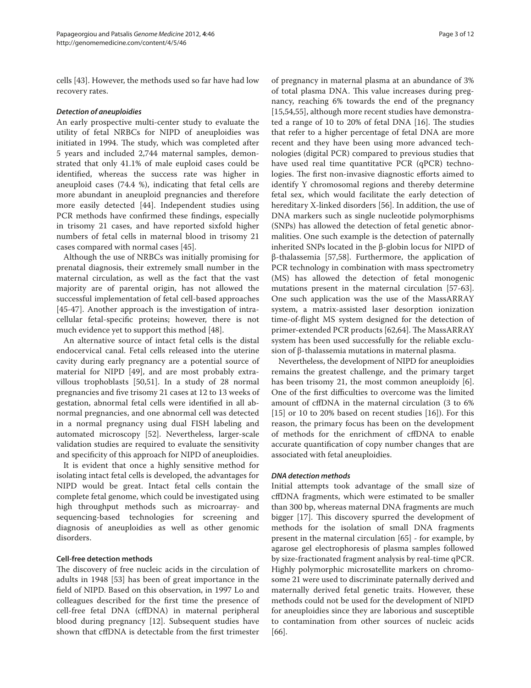cells [43]. However, the methods used so far have had low recovery rates.

#### *Detection of aneuploidies*

An early prospective multi-center study to evaluate the utility of fetal NRBCs for NIPD of aneuploidies was initiated in 1994. The study, which was completed after 5 years and included 2,744 maternal samples, demonstrated that only 41.1% of male euploid cases could be identified, whereas the success rate was higher in aneuploid cases (74.4 %), indicating that fetal cells are more abundant in aneuploid pregnancies and therefore more easily detected [44]. Independent studies using PCR methods have confirmed these findings, especially in trisomy 21 cases, and have reported sixfold higher numbers of fetal cells in maternal blood in trisomy 21 cases compared with normal cases [45].

Although the use of NRBCs was initially promising for prenatal diagnosis, their extremely small number in the maternal circulation, as well as the fact that the vast majority are of parental origin, has not allowed the successful implementation of fetal cell-based approaches [45-47]. Another approach is the investigation of intracellular fetal-specific proteins; however, there is not much evidence yet to support this method [48].

An alternative source of intact fetal cells is the distal endocervical canal. Fetal cells released into the uterine cavity during early pregnancy are a potential source of material for NIPD [49], and are most probably extravillous trophoblasts [50,51]. In a study of 28 normal pregnancies and five trisomy 21 cases at 12 to 13 weeks of gestation, abnormal fetal cells were identified in all abnormal pregnancies, and one abnormal cell was detected in a normal pregnancy using dual FISH labeling and automated microscopy [52]. Nevertheless, larger-scale validation studies are required to evaluate the sensitivity and specificity of this approach for NIPD of aneuploidies.

It is evident that once a highly sensitive method for isolating intact fetal cells is developed, the advantages for NIPD would be great. Intact fetal cells contain the complete fetal genome, which could be investigated using high throughput methods such as microarray- and sequencing-based technologies for screening and diagnosis of aneuploidies as well as other genomic disorders.

#### **Cell-free detection methods**

The discovery of free nucleic acids in the circulation of adults in 1948 [53] has been of great importance in the field of NIPD. Based on this observation, in 1997 Lo and colleagues described for the first time the presence of cell-free fetal DNA (cffDNA) in maternal peripheral blood during pregnancy [12]. Subsequent studies have shown that cffDNA is detectable from the first trimester of pregnancy in maternal plasma at an abundance of 3% of total plasma DNA. This value increases during pregnancy, reaching 6% towards the end of the pregnancy  $[15,54,55]$ , although more recent studies have demonstrated a range of 10 to 20% of fetal DNA [16]. The studies that refer to a higher percentage of fetal DNA are more recent and they have been using more advanced technologies (digital PCR) compared to previous studies that have used real time quantitative PCR (qPCR) technologies. The first non-invasive diagnostic efforts aimed to identify Y chromosomal regions and thereby determine fetal sex, which would facilitate the early detection of hereditary X-linked disorders [56]. In addition, the use of DNA markers such as single nucleotide polymorphisms (SNPs) has allowed the detection of fetal genetic abnormalities. One such example is the detection of paternally inherited SNPs located in the β-globin locus for NIPD of β-thalassemia [57,58]. Furthermore, the application of PCR technology in combination with mass spectrometry (MS) has allowed the detection of fetal monogenic mutations present in the maternal circulation [57-63]. One such application was the use of the MassARRAY system, a matrix-assisted laser desorption ionization time-of-flight MS system designed for the detection of primer-extended PCR products [62,64]. The MassARRAY system has been used successfully for the reliable exclusion of β-thalassemia mutations in maternal plasma.

Nevertheless, the development of NIPD for aneuploidies remains the greatest challenge, and the primary target has been trisomy 21, the most common aneuploidy [6]. One of the first difficulties to overcome was the limited amount of cffDNA in the maternal circulation (3 to 6%) [15] or 10 to 20% based on recent studies [16]). For this reason, the primary focus has been on the development of methods for the enrichment of cffDNA to enable accurate quantification of copy number changes that are associated with fetal aneuploidies.

#### *DNA detection methods*

Initial attempts took advantage of the small size of cffDNA fragments, which were estimated to be smaller than 300 bp, whereas maternal DNA fragments are much bigger [17]. This discovery spurred the development of methods for the isolation of small DNA fragments present in the maternal circulation [65] - for example, by agarose gel electrophoresis of plasma samples followed by size-fractionated fragment analysis by real-time qPCR. Highly polymorphic microsatellite markers on chromosome 21 were used to discriminate paternally derived and maternally derived fetal genetic traits. However, these methods could not be used for the development of NIPD for aneuploidies since they are laborious and susceptible to contamination from other sources of nucleic acids [66].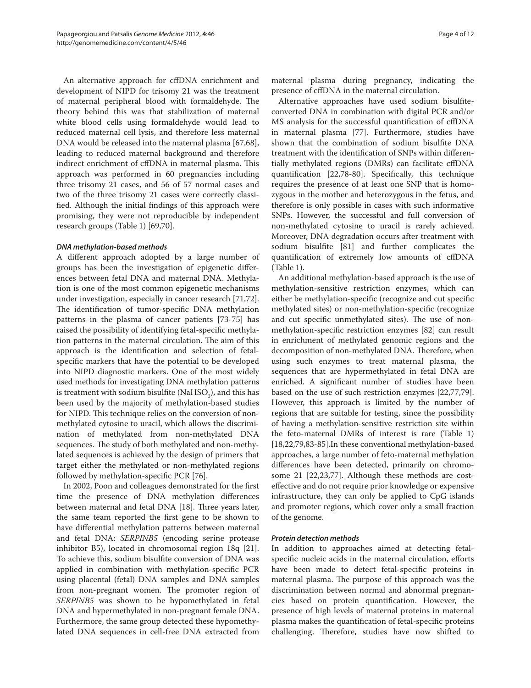An alternative approach for cffDNA enrichment and development of NIPD for trisomy 21 was the treatment of maternal peripheral blood with formaldehyde. The theory behind this was that stabilization of maternal white blood cells using formaldehyde would lead to reduced maternal cell lysis, and therefore less maternal DNA would be released into the maternal plasma [67,68], leading to reduced maternal background and therefore indirect enrichment of cffDNA in maternal plasma. This approach was performed in 60 pregnancies including three trisomy 21 cases, and 56 of 57 normal cases and two of the three trisomy 21 cases were correctly classified. Although the initial findings of this approach were promising, they were not reproducible by independent research groups (Table 1) [69,70].

#### *DNA methylation-based methods*

A different approach adopted by a large number of groups has been the investigation of epigenetic differences between fetal DNA and maternal DNA. Methylation is one of the most common epigenetic mechanisms under investigation, especially in cancer research [71,72]. The identification of tumor-specific DNA methylation patterns in the plasma of cancer patients [73-75] has raised the possibility of identifying fetal-specific methylation patterns in the maternal circulation. The aim of this approach is the identification and selection of fetalspecific markers that have the potential to be developed into NIPD diagnostic markers. One of the most widely used methods for investigating DNA methylation patterns is treatment with sodium bisulfite (NaHSO $_{3}$ ), and this has been used by the majority of methylation-based studies for NIPD. This technique relies on the conversion of nonmethylated cytosine to uracil, which allows the discrimination of methylated from non-methylated DNA sequences. The study of both methylated and non-methylated sequences is achieved by the design of primers that target either the methylated or non-methylated regions followed by methylation-specific PCR [76].

In 2002, Poon and colleagues demonstrated for the first time the presence of DNA methylation differences between maternal and fetal DNA [18]. Three years later, the same team reported the first gene to be shown to have differential methylation patterns between maternal and fetal DNA: *SERPINB5* (encoding serine protease inhibitor B5), located in chromosomal region 18q [21]. To achieve this, sodium bisulfite conversion of DNA was applied in combination with methylation-specific PCR using placental (fetal) DNA samples and DNA samples from non-pregnant women. The promoter region of *SERPINB5* was shown to be hypomethylated in fetal DNA and hypermethylated in non-pregnant female DNA. Furthermore, the same group detected these hypomethylated DNA sequences in cell-free DNA extracted from maternal plasma during pregnancy, indicating the presence of cffDNA in the maternal circulation.

Alternative approaches have used sodium bisulfiteconverted DNA in combination with digital PCR and/or MS analysis for the successful quantification of cffDNA in maternal plasma [77]. Furthermore, studies have shown that the combination of sodium bisulfite DNA treatment with the identification of SNPs within differentially methylated regions (DMRs) can facilitate cffDNA quantification  $[22,78-80]$ . Specifically, this technique requires the presence of at least one SNP that is homozygous in the mother and heterozygous in the fetus, and therefore is only possible in cases with such informative SNPs. However, the successful and full conversion of non-methylated cytosine to uracil is rarely achieved. Moreover, DNA degradation occurs after treatment with sodium bisulfite [81] and further complicates the quantification of extremely low amounts of cffDNA (Table 1).

An additional methylation-based approach is the use of methylation-sensitive restriction enzymes, which can either be methylation-specific (recognize and cut specific methylated sites) or non-methylation-specific (recognize and cut specific unmethylated sites). The use of nonmethylation-specific restriction enzymes [82] can result in enrichment of methylated genomic regions and the decomposition of non-methylated DNA. Therefore, when using such enzymes to treat maternal plasma, the sequences that are hypermethylated in fetal DNA are enriched. A significant number of studies have been based on the use of such restriction enzymes [22,77,79]. However, this approach is limited by the number of regions that are suitable for testing, since the possibility of having a methylation-sensitive restriction site within the feto-maternal DMRs of interest is rare (Table 1) [18,22,79,83-85].In these conventional methylation-based approaches, a large number of feto-maternal methylation differences have been detected, primarily on chromosome 21 [22,23,77]. Although these methods are costeffective and do not require prior knowledge or expensive infrastructure, they can only be applied to CpG islands and promoter regions, which cover only a small fraction of the genome.

#### *Protein detection methods*

In addition to approaches aimed at detecting fetalspecific nucleic acids in the maternal circulation, efforts have been made to detect fetal-specific proteins in maternal plasma. The purpose of this approach was the discrimination between normal and abnormal pregnancies based on protein quantification. However, the presence of high levels of maternal proteins in maternal plasma makes the quantification of fetal-specific proteins challenging. Therefore, studies have now shifted to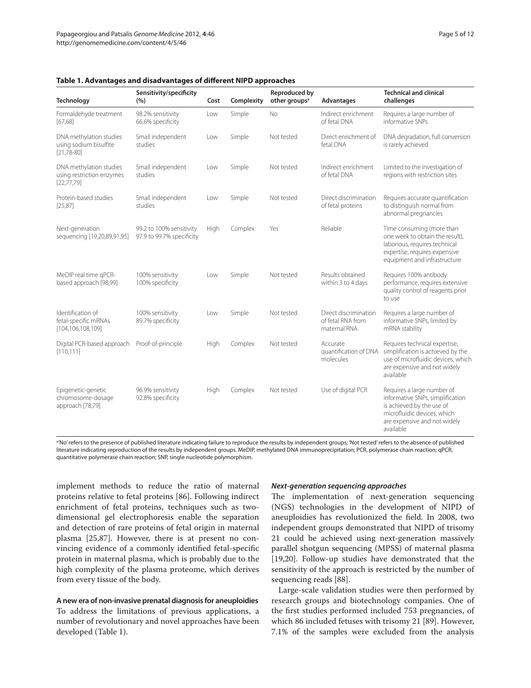|  | Table 1. Advantages and disadvantages of different NIPD approaches |  |
|--|--------------------------------------------------------------------|--|
|--|--------------------------------------------------------------------|--|

| <b>Technology</b>                                                    | Sensitivity/specificity<br>(%)                        | Cost | Complexity | <b>Reproduced by</b><br>other groups <sup>a</sup> | Advantages                                                 | <b>Technical and clinical</b><br>challenges                                                                                                                             |
|----------------------------------------------------------------------|-------------------------------------------------------|------|------------|---------------------------------------------------|------------------------------------------------------------|-------------------------------------------------------------------------------------------------------------------------------------------------------------------------|
| Formaldehyde treatment<br>[67, 68]                                   | 98.2% sensitivity<br>66.6% specificity                | Low  | Simple     | No.                                               | Indirect enrichment<br>of fetal DNA                        | Requires a large number of<br>informative SNPs                                                                                                                          |
| DNA methylation studies<br>using sodium bisulfite<br>$[21, 78 - 80]$ | Small independent<br>studies                          | Low  | Simple     | Not tested                                        | Direct enrichment of<br>fetal DNA                          | DNA degradation, full conversion<br>is rarely achieved                                                                                                                  |
| DNA methylation studies<br>using restriction enzymes<br>[22, 77, 79] | Small independent<br>studies                          | Low  | Simple     | Not tested                                        | Indirect enrichment<br>of fetal DNA                        | Limited to the investigation of<br>regions with restriction sites                                                                                                       |
| Protein-based studies<br>[25, 87]                                    | Small independent<br>studies                          | Low  | Simple     | Not tested                                        | Direct discrimination<br>of fetal proteins                 | Requires accurate quantification<br>to distinguish normal from<br>abnormal pregnancies                                                                                  |
| Next-generation<br>sequencing [19,20,89,91,95]                       | 99.2 to 100% sensitivity<br>97.9 to 99.7% specificity | High | Complex    | Yes                                               | Reliable                                                   | Time consuming (more than<br>one week to obtain the result),<br>laborious, requires technical<br>expertise, requires expensive<br>equipment and infrastructure          |
| MeDIP real time gPCR-<br>based approach [98,99]                      | 100% sensitivity<br>100% specificity                  | Low  | Simple     | Not tested                                        | Results obtained<br>within 3 to 4 days                     | Requires 100% antibody<br>performance, requires extensive<br>quality control of reagents prior<br>to use                                                                |
| Identification of<br>fetal-specific mRNAs<br>[104, 106, 108, 109]    | 100% sensitivity<br>89.7% specificity                 | Low  | Simple     | Not tested                                        | Direct discrimination<br>of fetal RNA from<br>maternal RNA | Requires a large number of<br>informative SNPs, limited by<br>mRNA stability                                                                                            |
| Digital PCR-based approach<br>[110, 111]                             | Proof-of-principle                                    | High | Complex    | Not tested                                        | Accurate<br>quantification of DNA<br>molecules             | Requires technical expertise,<br>simplification is achieved by the<br>use of microfluidic devices, which<br>are expensive and not widely<br>available                   |
| Epigenetic-genetic<br>chromosome-dosage<br>approach [78,79]          | 96.9% sensitivity<br>92.8% specificity                | High | Complex    | Not tested                                        | Use of digital PCR                                         | Requires a large number of<br>informative SNPs, simplification<br>is achieved by the use of<br>microfluidic devices, which<br>are expensive and not widely<br>available |

a 'No' refers to the presence of published literature indicating failure to reproduce the results by independent groups; 'Not tested' refers to the absence of published literature indicating reproduction of the results by independent groups. MeDIP, methylated DNA immunoprecipitation; PCR, polymerase chain reaction; qPCR, quantitative polymerase chain reaction; SNP, single nucleotide polymorphism.

implement methods to reduce the ratio of maternal proteins relative to fetal proteins [86]. Following indirect enrichment of fetal proteins, techniques such as twodimensional gel electrophoresis enable the separation and detection of rare proteins of fetal origin in maternal plasma [25,87]. However, there is at present no convincing evidence of a commonly identified fetal-specific protein in maternal plasma, which is probably due to the high complexity of the plasma proteome, which derives from every tissue of the body.

**A new era of non-invasive prenatal diagnosis for aneuploidies** To address the limitations of previous applications, a number of revolutionary and novel approaches have been developed (Table 1).

#### *Next-generation sequencing approaches*

The implementation of next-generation sequencing (NGS) technologies in the development of NIPD of aneuploidies has revolutionized the field. In 2008, two independent groups demonstrated that NIPD of trisomy 21 could be achieved using next-generation massively parallel shotgun sequencing (MPSS) of maternal plasma [19,20]. Follow-up studies have demonstrated that the sensitivity of the approach is restricted by the number of sequencing reads [88].

Large-scale validation studies were then performed by research groups and biotechnology companies. One of the first studies performed included 753 pregnancies, of which 86 included fetuses with trisomy 21 [89]. However, 7.1% of the samples were excluded from the analysis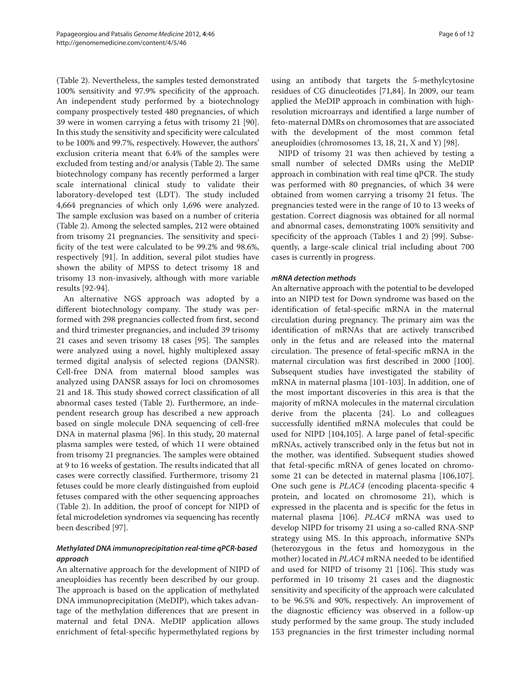(Table 2). Nevertheless, the samples tested demonstrated 100% sensitivity and 97.9% specificity of the approach. An independent study performed by a biotechnology company prospectively tested 480 pregnancies, of which 39 were in women carrying a fetus with trisomy 21 [90]. In this study the sensitivity and specificity were calculated to be 100% and 99.7%, respectively. However, the authors' exclusion criteria meant that 6.4% of the samples were excluded from testing and/or analysis (Table 2). The same biotechnology company has recently performed a larger scale international clinical study to validate their laboratory-developed test (LDT). The study included 4,664 pregnancies of which only 1,696 were analyzed. The sample exclusion was based on a number of criteria (Table 2). Among the selected samples, 212 were obtained from trisomy 21 pregnancies. The sensitivity and specificity of the test were calculated to be 99.2% and 98.6%, respectively [91]. In addition, several pilot studies have shown the ability of MPSS to detect trisomy 18 and trisomy 13 non-invasively, although with more variable results [92-94].

An alternative NGS approach was adopted by a different biotechnology company. The study was performed with 298 pregnancies collected from first, second and third trimester pregnancies, and included 39 trisomy 21 cases and seven trisomy 18 cases [95]. The samples were analyzed using a novel, highly multiplexed assay termed digital analysis of selected regions (DANSR). Cell-free DNA from maternal blood samples was analyzed using DANSR assays for loci on chromosomes 21 and 18. This study showed correct classification of all abnormal cases tested (Table 2). Furthermore, an independent research group has described a new approach based on single molecule DNA sequencing of cell-free DNA in maternal plasma [96]. In this study, 20 maternal plasma samples were tested, of which 11 were obtained from trisomy 21 pregnancies. The samples were obtained at 9 to 16 weeks of gestation. The results indicated that all cases were correctly classified. Furthermore, trisomy 21 fetuses could be more clearly distinguished from euploid fetuses compared with the other sequencing approaches (Table 2). In addition, the proof of concept for NIPD of fetal microdeletion syndromes via sequencing has recently been described [97].

#### *Methylated DNA immunoprecipitation real-time qPCR-based approach*

An alternative approach for the development of NIPD of aneuploidies has recently been described by our group. The approach is based on the application of methylated DNA immunoprecipitation (MeDIP), which takes advantage of the methylation differences that are present in maternal and fetal DNA. MeDIP application allows enrichment of fetal-specific hypermethylated regions by using an antibody that targets the 5-methylcytosine residues of CG dinucleotides [71,84]. In 2009, our team applied the MeDIP approach in combination with highresolution microarrays and identified a large number of feto-maternal DMRs on chromosomes that are associated with the development of the most common fetal aneuploidies (chromosomes 13, 18, 21, X and Y) [98].

NIPD of trisomy 21 was then achieved by testing a small number of selected DMRs using the MeDIP approach in combination with real time qPCR. The study was performed with 80 pregnancies, of which 34 were obtained from women carrying a trisomy 21 fetus. The pregnancies tested were in the range of 10 to 13 weeks of gestation. Correct diagnosis was obtained for all normal and abnormal cases, demonstrating 100% sensitivity and specificity of the approach (Tables 1 and 2) [99]. Subsequently, a large-scale clinical trial including about 700 cases is currently in progress.

#### *mRNA detection methods*

An alternative approach with the potential to be developed into an NIPD test for Down syndrome was based on the identification of fetal-specific mRNA in the maternal circulation during pregnancy. The primary aim was the identification of mRNAs that are actively transcribed only in the fetus and are released into the maternal circulation. The presence of fetal-specific mRNA in the maternal circulation was first described in 2000 [100]. Subsequent studies have investigated the stability of mRNA in maternal plasma [101-103]. In addition, one of the most important discoveries in this area is that the majority of mRNA molecules in the maternal circulation derive from the placenta [24]. Lo and colleagues successfully identified mRNA molecules that could be used for NIPD [104,105]. A large panel of fetal-specific mRNAs, actively transcribed only in the fetus but not in the mother, was identified. Subsequent studies showed that fetal-specific mRNA of genes located on chromosome 21 can be detected in maternal plasma [106,107]. One such gene is *PLAC4* (encoding placenta-specific 4 protein, and located on chromosome 21), which is expressed in the placenta and is specific for the fetus in maternal plasma [106]. *PLAC4* mRNA was used to develop NIPD for trisomy 21 using a so-called RNA-SNP strategy using MS. In this approach, informative SNPs (heterozygous in the fetus and homozygous in the mother) located in *PLAC4* mRNA needed to be identified and used for NIPD of trisomy 21 [106]. This study was performed in 10 trisomy 21 cases and the diagnostic sensitivity and specificity of the approach were calculated to be 96.5% and 90%, respectively. An improvement of the diagnostic efficiency was observed in a follow-up study performed by the same group. The study included 153 pregnancies in the first trimester including normal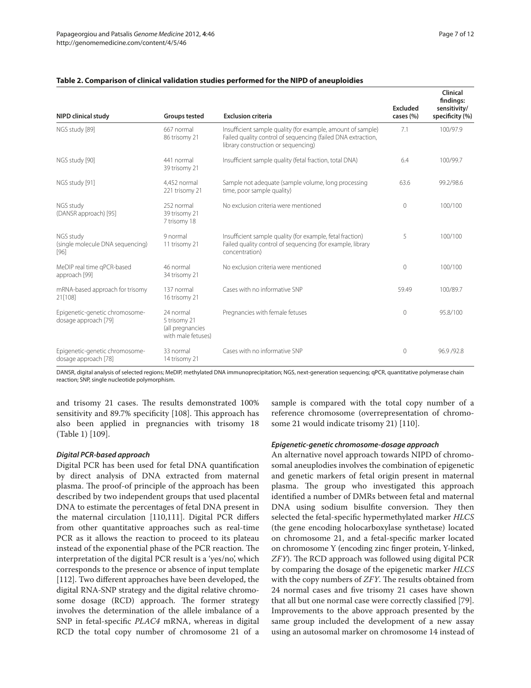| <b>NIPD clinical study</b>                              | <b>Groups tested</b>                                                | <b>Exclusion criteria</b>                                                                                                                                          | <b>Excluded</b><br>cases (%) | Clinical<br>findings:<br>sensitivity/<br>specificity (%) |
|---------------------------------------------------------|---------------------------------------------------------------------|--------------------------------------------------------------------------------------------------------------------------------------------------------------------|------------------------------|----------------------------------------------------------|
| NGS study [89]                                          | 667 normal<br>86 trisomy 21                                         | Insufficient sample quality (for example, amount of sample)<br>Failed quality control of sequencing (failed DNA extraction,<br>library construction or sequencing) | 7.1                          | 100/97.9                                                 |
| NGS study [90]                                          | 441 normal<br>39 trisomy 21                                         | Insufficient sample quality (fetal fraction, total DNA)                                                                                                            | 6.4                          | 100/99.7                                                 |
| NGS study [91]                                          | 4.452 normal<br>221 trisomy 21                                      | Sample not adequate (sample volume, long processing<br>time, poor sample quality)                                                                                  | 63.6                         | 99.2/98.6                                                |
| NGS study<br>(DANSR approach) [95]                      | 252 normal<br>39 trisomy 21<br>7 trisomy 18                         | No exclusion criteria were mentioned                                                                                                                               | $\Omega$                     | 100/100                                                  |
| NGS study<br>(single molecule DNA sequencing)<br>$[96]$ | 9 normal<br>11 trisomy 21                                           | Insufficient sample quality (for example, fetal fraction)<br>Failed quality control of sequencing (for example, library<br>concentration)                          | 5                            | 100/100                                                  |
| MeDIP real time qPCR-based<br>approach [99]             | 46 normal<br>34 trisomy 21                                          | No exclusion criteria were mentioned                                                                                                                               | $\mathbf{0}$                 | 100/100                                                  |
| mRNA-based approach for trisomy<br>21[108]              | 137 normal<br>16 trisomy 21                                         | Cases with no informative SNP                                                                                                                                      | 59.49                        | 100/89.7                                                 |
| Epigenetic-genetic chromosome-<br>dosage approach [79]  | 24 normal<br>5 trisomy 21<br>(all pregnancies<br>with male fetuses) | Pregnancies with female fetuses                                                                                                                                    | $\mathbf{0}$                 | 95.8/100                                                 |
| Epigenetic-genetic chromosome-<br>dosage approach [78]  | 33 normal<br>14 trisomy 21                                          | Cases with no informative SNP                                                                                                                                      | $\mathbf 0$                  | 96.9/92.8                                                |

#### **Table 2. Comparison of clinical validation studies performed for the NIPD of aneuploidies**

DANSR, digital analysis of selected regions; MeDIP, methylated DNA immunoprecipitation; NGS, next-generation sequencing; qPCR, quantitative polymerase chain reaction; SNP, single nucleotide polymorphism.

and trisomy 21 cases. The results demonstrated 100% sensitivity and 89.7% specificity [108]. This approach has also been applied in pregnancies with trisomy 18 (Table 1) [109].

sample is compared with the total copy number of a reference chromosome (overrepresentation of chromosome 21 would indicate trisomy 21) [110].

#### *Digital PCR-based approach*

Digital PCR has been used for fetal DNA quantification by direct analysis of DNA extracted from maternal plasma. The proof-of principle of the approach has been described by two independent groups that used placental DNA to estimate the percentages of fetal DNA present in the maternal circulation  $[110,111]$ . Digital PCR differs from other quantitative approaches such as real-time PCR as it allows the reaction to proceed to its plateau instead of the exponential phase of the PCR reaction. The interpretation of the digital PCR result is a 'yes/no', which corresponds to the presence or absence of input template [112]. Two different approaches have been developed, the digital RNA-SNP strategy and the digital relative chromosome dosage (RCD) approach. The former strategy involves the determination of the allele imbalance of a SNP in fetal-specific *PLAC4* mRNA, whereas in digital RCD the total copy number of chromosome 21 of a

#### *Epigenetic-genetic chromosome-dosage approach*

An alternative novel approach towards NIPD of chromosomal aneuplodies involves the combination of epigenetic and genetic markers of fetal origin present in maternal plasma. The group who investigated this approach identified a number of DMRs between fetal and maternal DNA using sodium bisulfite conversion. They then selected the fetal-specific hypermethylated marker *HLCS* (the gene encoding holocarboxylase synthetase) located on chromosome 21, and a fetal-specific marker located on chromosome Y (encoding zinc finger protein, Y-linked, *ZFY*). The RCD approach was followed using digital PCR by comparing the dosage of the epigenetic marker *HLCS* with the copy numbers of ZFY. The results obtained from 24 normal cases and five trisomy 21 cases have shown that all but one normal case were correctly classified [79]. Improvements to the above approach presented by the same group included the development of a new assay using an autosomal marker on chromosome 14 instead of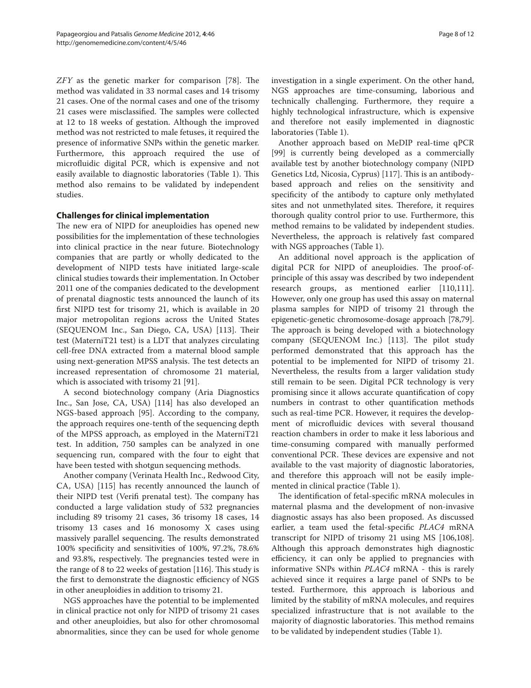*ZFY* as the genetic marker for comparison [78]. The method was validated in 33 normal cases and 14 trisomy 21 cases. One of the normal cases and one of the trisomy 21 cases were misclassified. The samples were collected at 12 to 18 weeks of gestation. Although the improved method was not restricted to male fetuses, it required the presence of informative SNPs within the genetic marker. Furthermore, this approach required the use of microfluidic digital PCR, which is expensive and not easily available to diagnostic laboratories (Table 1). This method also remains to be validated by independent studies.

#### **Challenges for clinical implementation**

The new era of NIPD for aneuploidies has opened new possibilities for the implementation of these technologies into clinical practice in the near future. Biotechnology companies that are partly or wholly dedicated to the development of NIPD tests have initiated large-scale clinical studies towards their implementation. In October 2011 one of the companies dedicated to the development of prenatal diagnostic tests announced the launch of its first NIPD test for trisomy 21, which is available in 20 major metropolitan regions across the United States (SEQUENOM Inc., San Diego, CA, USA) [113]. Their test (MaterniT21 test) is a LDT that analyzes circulating cell-free DNA extracted from a maternal blood sample using next-generation MPSS analysis. The test detects an increased representation of chromosome 21 material, which is associated with trisomy 21 [91].

A second biotechnology company (Aria Diagnostics Inc., San Jose, CA, USA) [114] has also developed an NGS-based approach [95]. According to the company, the approach requires one-tenth of the sequencing depth of the MPSS approach, as employed in the MaterniT21 test. In addition, 750 samples can be analyzed in one sequencing run, compared with the four to eight that have been tested with shotgun sequencing methods.

Another company (Verinata Health Inc., Redwood City, CA, USA) [115] has recently announced the launch of their NIPD test (Verifi prenatal test). The company has conducted a large validation study of 532 pregnancies including 89 trisomy 21 cases, 36 trisomy 18 cases, 14 trisomy 13 cases and 16 monosomy X cases using massively parallel sequencing. The results demonstrated 100% specificity and sensitivities of 100%, 97.2%, 78.6% and 93.8%, respectively. The pregnancies tested were in the range of 8 to 22 weeks of gestation  $[116]$ . This study is the first to demonstrate the diagnostic efficiency of NGS in other aneuploidies in addition to trisomy 21.

NGS approaches have the potential to be implemented in clinical practice not only for NIPD of trisomy 21 cases and other aneuploidies, but also for other chromosomal abnormalities, since they can be used for whole genome investigation in a single experiment. On the other hand, NGS approaches are time-consuming, laborious and technically challenging. Furthermore, they require a highly technological infrastructure, which is expensive and therefore not easily implemented in diagnostic laboratories (Table 1).

Another approach based on MeDIP real-time qPCR [99] is currently being developed as a commercially available test by another biotechnology company (NIPD Genetics Ltd, Nicosia, Cyprus) [117]. This is an antibodybased approach and relies on the sensitivity and specificity of the antibody to capture only methylated sites and not unmethylated sites. Therefore, it requires thorough quality control prior to use. Furthermore, this method remains to be validated by independent studies. Nevertheless, the approach is relatively fast compared with NGS approaches (Table 1).

An additional novel approach is the application of digital PCR for NIPD of aneuploidies. The proof-ofprinciple of this assay was described by two independent research groups, as mentioned earlier [110,111]. However, only one group has used this assay on maternal plasma samples for NIPD of trisomy 21 through the epigenetic-genetic chromosome-dosage approach [78,79]. The approach is being developed with a biotechnology company (SEQUENOM Inc.) [113]. The pilot study performed demonstrated that this approach has the potential to be implemented for NIPD of trisomy 21. Nevertheless, the results from a larger validation study still remain to be seen. Digital PCR technology is very promising since it allows accurate quantification of copy numbers in contrast to other quantification methods such as real-time PCR. However, it requires the development of microfluidic devices with several thousand reaction chambers in order to make it less laborious and time-consuming compared with manually performed conventional PCR. These devices are expensive and not available to the vast majority of diagnostic laboratories, and therefore this approach will not be easily implemented in clinical practice (Table 1).

The identification of fetal-specific mRNA molecules in maternal plasma and the development of non-invasive diagnostic assays has also been proposed. As discussed earlier, a team used the fetal-specific *PLAC4* mRNA transcript for NIPD of trisomy 21 using MS [106,108]. Although this approach demonstrates high diagnostic efficiency, it can only be applied to pregnancies with informative SNPs within *PLAC4* mRNA - this is rarely achieved since it requires a large panel of SNPs to be tested. Furthermore, this approach is laborious and limited by the stability of mRNA molecules, and requires specialized infrastructure that is not available to the majority of diagnostic laboratories. This method remains to be validated by independent studies (Table 1).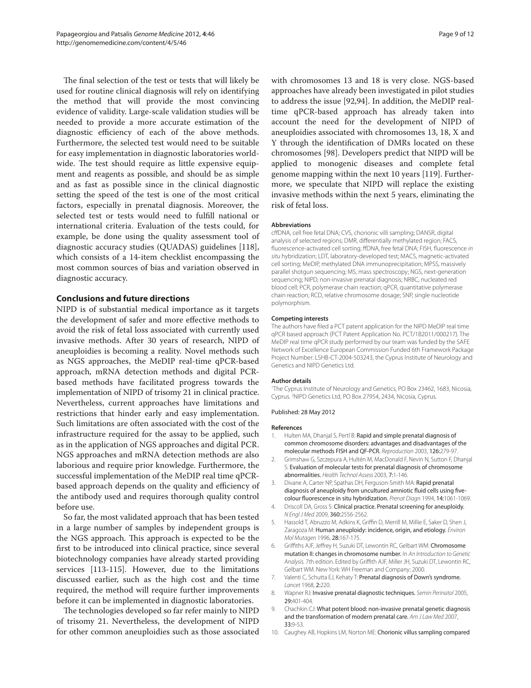The final selection of the test or tests that will likely be used for routine clinical diagnosis will rely on identifying the method that will provide the most convincing evidence of validity. Large-scale validation studies will be needed to provide a more accurate estimation of the diagnostic efficiency of each of the above methods. Furthermore, the selected test would need to be suitable for easy implementation in diagnostic laboratories worldwide. The test should require as little expensive equipment and reagents as possible, and should be as simple and as fast as possible since in the clinical diagnostic setting the speed of the test is one of the most critical factors, especially in prenatal diagnosis. Moreover, the selected test or tests would need to fulfill national or international criteria. Evaluation of the tests could, for example, be done using the quality assessment tool of diagnostic accuracy studies (QUADAS) guidelines [118], which consists of a 14-item checklist encompassing the most common sources of bias and variation observed in diagnostic accuracy.

#### **Conclusions and future directions**

NIPD is of substantial medical importance as it targets the development of safer and more effective methods to avoid the risk of fetal loss associated with currently used invasive methods. After 30 years of research, NIPD of aneuploidies is becoming a reality. Novel methods such as NGS approaches, the MeDIP real-time qPCR-based approach, mRNA detection methods and digital PCRbased methods have facilitated progress towards the implementation of NIPD of trisomy 21 in clinical practice. Nevertheless, current approaches have limitations and restrictions that hinder early and easy implementation. Such limitations are often associated with the cost of the infrastructure required for the assay to be applied, such as in the application of NGS approaches and digital PCR. NGS approaches and mRNA detection methods are also laborious and require prior knowledge. Furthermore, the successful implementation of the MeDIP real time qPCRbased approach depends on the quality and efficiency of the antibody used and requires thorough quality control before use.

So far, the most validated approach that has been tested in a large number of samples by independent groups is the NGS approach. This approach is expected to be the first to be introduced into clinical practice, since several biotechnology companies have already started providing services [113-115]. However, due to the limitations discussed earlier, such as the high cost and the time required, the method will require further improvements before it can be implemented in diagnostic laboratories.

The technologies developed so far refer mainly to NIPD of trisomy 21. Nevertheless, the development of NIPD for other common aneuploidies such as those associated with chromosomes 13 and 18 is very close. NGS-based approaches have already been investigated in pilot studies to address the issue [92,94]. In addition, the MeDIP realtime qPCR-based approach has already taken into account the need for the development of NIPD of aneuploidies associated with chromosomes 13, 18, X and Y through the identification of DMRs located on these chromosomes [98]. Developers predict that NIPD will be applied to monogenic diseases and complete fetal genome mapping within the next 10 years [119]. Furthermore, we speculate that NIPD will replace the existing invasive methods within the next 5 years, eliminating the risk of fetal loss.

#### **Abbreviations**

cffDNA, cell free fetal DNA; CVS, chorionic villi sampling; DANSR, digital analysis of selected regions; DMR, differentially methylated region; FACS, fluorescence-activated cell sorting; ffDNA, free fetal DNA; FISH, fluorescence in situ hybridization; LDT, laboratory-developed test; MACS, magnetic-activated cell sorting; MeDIP, methylated DNA immunoprecipitation; MPSS, massively parallel shotgun sequencing; MS, mass spectroscopy; NGS, next-generation sequencing; NIPD, non-invasive prenatal diagnosis; NRBC, nucleated red blood cell; PCR, polymerase chain reaction; qPCR, quantitative polymerase chain reaction; RCD, relative chromosome dosage; SNP, single nucleotide polymorphism.

#### **Competing interests**

The authors have filed a PCT patent application for the NIPD MeDIP real time qPCR based approach (PCT Patent Application No. PCT/1B2011/000217). The MeDIP real time qPCR study performed by our team was funded by the SAFE Network of Excellence European Commission Funded 6th Framework Package Project Number: LSHB-CT-2004-503243, the Cyprus Institute of Neurology and Genetics and NIPD Genetics Ltd.

#### **Author details**

1 The Cyprus Institute of Neurology and Genetics, PO Box 23462, 1683, Nicosia, Cyprus. 2 NIPD Genetics Ltd, PO Box 27954, 2434, Nicosia, Cyprus.

#### Published: 28 May 2012

#### **References**

- 1. Hulten MA, Dhanjal S, Pertl B: Rapid and simple prenatal diagnosis of common chromosome disorders: advantages and disadvantages of the molecular methods FISH and QF-PCR. Reproduction 2003, 126:279-97.
- 2. Grimshaw G, Szczepura A, Hultén M, MacDonald F, Nevin N, Sutton F, Dhanjal S: Evaluation of molecular tests for prenatal diagnosis of chromosome abnormalities. Health Technol Assess 2003, 7:1-146.
- 3. Divane A, Carter NP, Spathas DH, Ferguson-Smith MA: Rapid prenatal diagnosis of aneuploidy from uncultured amniotic fluid cells using fivecolour fluorescence in situ hybridization. Prenat Diagn 1994, 14:1061-1069.
- 4. Driscoll DA, Gross S: Clinical practice. Prenatal screening for aneuploidy. N Engl J Med 2009, 360:2556-2562.
- 5. Hassold T, Abruzzo M, Adkins K, Griffin D, Merrill M, Millie E, Saker D, Shen J, Zaragoza M: Human aneuploidy: incidence, origin, and etiology. Environ Mol Mutagen 1996, 28:167-175.
- 6. Griffiths AJF, Jeffrey H, Suzuki DT, Lewontin RC, Gelbart WM: Chromosome mutation II: changes in chromosome number. In An Introduction to Genetic Analysis. 7th edition. Edited by Griffith AJF, Miller JH, Suzuki DT, Lewontin RC, Gelbart WM. New York: WH Freeman and Company; 2000.
- 7. Valenti C, Schutta EJ, Kehaty T: Prenatal diagnosis of Down's syndrome. Lancet 1968, 2:220.
- 8. Wapner RJ: Invasive prenatal diagnostic techniques. Semin Perinatol 2005, 29:401-404.
- 9. Chachkin CJ: What potent blood: non-invasive prenatal genetic diagnosis and the transformation of modern prenatal care. Am J Law Med 2007, 33:9-53.
- 10. Caughey AB, Hopkins LM, Norton ME: Chorionic villus sampling compared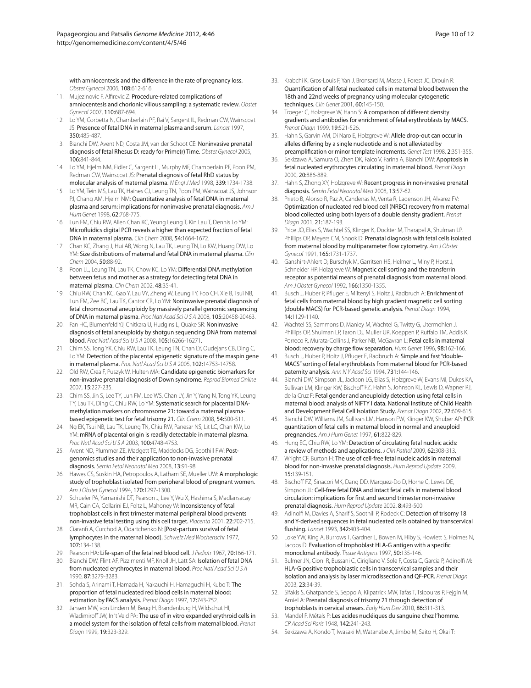with amniocentesis and the difference in the rate of pregnancy loss. Obstet Gynecol 2006, 108:612-616.

- 11. Mujezinovic F, Alfirevic Z: Procedure-related complications of amniocentesis and chorionic villous sampling: a systematic review. Obstet Gynecol 2007, 110:687-694.
- 12. Lo YM, Corbetta N, Chamberlain PF, Rai V, Sargent IL, Redman CW, Wainscoat JS: Presence of fetal DNA in maternal plasma and serum. Lancet 1997, 350:485-487.
- 13. Bianchi DW, Avent ND, Costa JM, van der Schoot CE: Noninvasive prenatal diagnosis of fetal Rhesus D: ready for Prime(r) Time. Obstet Gynecol 2005, 106:841-844.
- 14. Lo YM, Hjelm NM, Fidler C, Sargent IL, Murphy MF, Chamberlain PF, Poon PM, Redman CW, Wainscoat JS: Prenatal diagnosis of fetal RhD status by molecular analysis of maternal plasma. N Engl J Med 1998, 339:1734-1738.
- 15. Lo YM, Tein MS, Lau TK, Haines CJ, Leung TN, Poon PM, Wainscoat JS, Johnson PJ, Chang AM, Hjelm NM: Quantitative analysis of fetal DNA in maternal plasma and serum: implications for noninvasive prenatal diagnosis.  $AmJ$ Hum Genet 1998, 62:768-775.
- 16. Lun FM, Chiu RW, Allen Chan KC, Yeung Leung T, Kin Lau T, Dennis Lo YM: Microfluidics digital PCR reveals a higher than expected fraction of fetal DNA in maternal plasma. Clin Chem 2008, 54:1664-1672.
- 17. Chan KC, Zhang J, Hui AB, Wong N, Lau TK, Leung TN, Lo KW, Huang DW, Lo YM: Size distributions of maternal and fetal DNA in maternal plasma. Clin Chem 2004, 50:88-92.
- 18. Poon LL, Leung TN, Lau TK, Chow KC, Lo YM: Differential DNA methylation between fetus and mother as a strategy for detecting fetal DNA in maternal plasma. Clin Chem 2002, 48:35-41.
- 19. Chiu RW, Chan KC, Gao Y, Lau VY, Zheng W, Leung TY, Foo CH, Xie B, Tsui NB, Lun FM, Zee BC, Lau TK, Cantor CR, Lo YM: Noninvasive prenatal diagnosis of fetal chromosomal aneuploidy by massively parallel genomic sequencing of DNA in maternal plasma. Proc Natl Acad Sci U S A 2008, 105:20458-20463.
- 20. Fan HC, Blumenfeld YJ, Chitkara U, Hudgins L, Quake SR: Noninvasive diagnosis of fetal aneuploidy by shotgun sequencing DNA from maternal blood. Proc Natl Acad Sci U S A 2008, 105:16266-16271.
- 21. Chim SS, Tong YK, Chiu RW, Lau TK, Leung TN, Chan LY, Oudejans CB, Ding C, Lo YM: Detection of the placental epigenetic signature of the maspin gene in maternal plasma. Proc Natl Acad Sci U S A 2005, 102:14753-14758.
- 22. Old RW, Crea F, Puszyk W, Hulten MA: Candidate epigenetic biomarkers for non-invasive prenatal diagnosis of Down syndrome. Reprod Biomed Online 2007, 15:227-235.
- 23. Chim SS, Jin S, Lee TY, Lun FM, Lee WS, Chan LY, Jin Y, Yang N, Tong YK, Leung TY, Lau TK, Ding C, Chiu RW, Lo YM: Systematic search for placental DNAmethylation markers on chromosome 21: toward a maternal plasmabased epigenetic test for fetal trisomy 21. Clin Chem 2008, 54:500-511.
- 24. Ng EK, Tsui NB, Lau TK, Leung TN, Chiu RW, Panesar NS, Lit LC, Chan KW, Lo YM: mRNA of placental origin is readily detectable in maternal plasma. Proc Natl Acad Sci U S A 2003, 100:4748-4753.
- 25. Avent ND, Plummer ZE, Madgett TE, Maddocks DG, Soothill PW: Postgenomics studies and their application to non-invasive prenatal diagnosis. Semin Fetal Neonatal Med 2008, 13:91-98.
- 26. Hawes CS, Suskin HA, Petropoulos A, Latham SE, Mueller UW: A morphologic study of trophoblast isolated from peripheral blood of pregnant women. Am J Obstet Gynecol 1994, 170:1297-1300.
- 27. Schueler PA, Yamanishi DT, Pearson J, Lee Y, Wu X, Hashima S, Madlansacay MR, Cain CA, Collarini EJ, Foltz L, Mahoney W: Inconsistency of fetal trophoblast cells in first trimester maternal peripheral blood prevents non-invasive fetal testing using this cell target. Placenta 2001, 22:702-715.
- 28. Ciaranfi A, Curchod A, Odartchenko N: [Post-partum survival of fetal lymphocytes in the maternal blood]. Schweiz Med Wochenschr 1977, 107:134-138.
- 29. Pearson HA: Life-span of the fetal red blood cell. J Pediatr 1967, 70:166-171.
- 30. Bianchi DW, Flint AF, Pizzimenti MF, Knoll JH, Latt SA: Isolation of fetal DNA from nucleated erythrocytes in maternal blood. Proc Natl Acad Sci U S A 1990, 87:3279-3283.
- 31. Sohda S, Arinami T, Hamada H, Nakauchi H, Hamaguchi H, Kubo T: The proportion of fetal nucleated red blood cells in maternal blood: estimation by FACS analysis. Prenat Diagn 1997, 17:743-752.
- 32. Jansen MW, von Lindern M, Beug H, Brandenburg H, Wildschut HI, Wladimiroff JW, In 't Veld PA: The use of in vitro expanded erythroid cells in a model system for the isolation of fetal cells from maternal blood. Prenat Diagn 1999, 19:323-329.
- 33. Krabchi K, Gros-Louis F, Yan J, Bronsard M, Masse J, Forest JC, Drouin R: Quantification of all fetal nucleated cells in maternal blood between the 18th and 22nd weeks of pregnancy using molecular cytogenetic techniques. Clin Genet 2001, 60:145-150.
- 34. Troeger C, Holzgreve W, Hahn S: A comparison of different density gradients and antibodies for enrichment of fetal erythroblasts by MACS. Prenat Diagn 1999, 19:521-526.
- 35. Hahn S, Garvin AM, Di Naro E, Holzgreve W: Allele drop-out can occur in alleles differing by a single nucleotide and is not alleviated by preamplification or minor template increments. Genet Test 1998, 2:351-355.
- 36. Sekizawa A, Samura O, Zhen DK, Falco V, Farina A, Bianchi DW: Apoptosis in fetal nucleated erythrocytes circulating in maternal blood. Prenat Diagn 2000, 20:886-889.
- 37. Hahn S, Zhong XY, Holzgreve W: Recent progress in non-invasive prenatal diagnosis. Semin Fetal Neonatal Med 2008, 13:57-62.
- 38. Prieto B, Alonso R, Paz A, Candenas M, Venta R, Ladenson JH, Alvarez FV: Optimization of nucleated red blood cell (NRBC) recovery from maternal blood collected using both layers of a double density gradient. Prenat Diagn 2001, 21:187-193.
- 39. Price JO, Elias S, Wachtel SS, Klinger K, Dockter M, Tharapel A, Shulman LP, Phillips OP, Meyers CM, Shook D: Prenatal diagnosis with fetal cells isolated from maternal blood by multiparameter flow cytometry. Am J Obstet Gynecol 1991, 165:1731-1737.
- 40. Ganshirt-Ahlert D, Burschyk M, Garritsen HS, Helmer L, Miny P, Horst J, Schneider HP, Holzgreve W: Magnetic cell sorting and the transferrin receptor as potential means of prenatal diagnosis from maternal blood. Am J Obstet Gynecol 1992, 166:1350-1355.
- 41. Busch J, Huber P, Pfluger E, Miltenyi S, Holtz J, Radbruch A: Enrichment of fetal cells from maternal blood by high gradient magnetic cell sorting (double MACS) for PCR-based genetic analysis. Prenat Diagn 1994, 14:1129-1140.
- 42. Wachtel SS, Sammons D, Manley M, Wachtel G, Twitty G, Utermohlen J, Phillips OP, Shulman LP, Taron DJ, Muller UR, Koeppen P, Ruffalo TM, Addis K, Porreco R, Murata-Collins J, Parker NB, McGavran L: Fetal cells in maternal blood: recovery by charge flow separation. Hum Genet 1996, 98:162-166.
- 43. Busch J, Huber P, Holtz J, Pfluger E, Radbruch A: Simple and fast "double-MACS" sorting of fetal erythroblasts from maternal blood for PCR-based paternity analysis. Ann N Y Acad Sci 1994, 731:144-146.
- 44. Bianchi DW, Simpson JL, Jackson LG, Elias S, Holzgreve W, Evans MI, Dukes KA, Sullivan LM, Klinger KW, Bischoff FZ, Hahn S, Johnson KL, Lewis D, Wapner RJ, de la Cruz F: Fetal gender and aneuploidy detection using fetal cells in maternal blood: analysis of NIFTY I data. National Institute of Child Health and Development Fetal Cell Isolation Study. Prenat Diagn 2002, 22:609-615.
- 45. Bianchi DW, Williams JM, Sullivan LM, Hanson FW, Klinger KW, Shuber AP: PCR quantitation of fetal cells in maternal blood in normal and aneuploid pregnancies. Am J Hum Genet 1997, 61:822-829.
- Hung EC, Chiu RW, Lo YM: Detection of circulating fetal nucleic acids: a review of methods and applications. J Clin Pathol 2009, 62:308-313.
- 47. Wright CF, Burton H: The use of cell-free fetal nucleic acids in maternal blood for non-invasive prenatal diagnosis. Hum Reprod Update 2009, 15:139-151.
- 48. Bischoff FZ, Sinacori MK, Dang DD, Marquez-Do D, Horne C, Lewis DE, Simpson JL: Cell-free fetal DNA and intact fetal cells in maternal blood circulation: implications for first and second trimester non-invasive prenatal diagnosis. Hum Reprod Update 2002, 8:493-500.
- 49. Adinolfi M, Davies A, Sharif S, Soothill P, Rodeck C: Detection of trisomy 18 and Y-derived sequences in fetal nucleated cells obtained by transcervical flushing. Lancet 1993, 342:403-404.
- 50. Loke YW, King A, Burrows T, Gardner L, Bowen M, Hiby S, Howlett S, Holmes N, Jacobs D: Evaluation of trophoblast HLA-G antigen with a specific monoclonal antibody. Tissue Antigens 1997, 50:135-146.
- 51. Bulmer JN, Cioni R, Bussani C, Cirigliano V, Sole F, Costa C, Garcia P, Adinolfi M: HLA-G positive trophoblastic cells in transcervical samples and their isolation and analysis by laser microdissection and QF-PCR. Prenat Diagn 2003, 23:34-39.
- 52. Sifakis S, Ghatpande S, Seppo A, Kilpatrick MW, Tafas T, Tsipouras P, Fejgin M, Amiel A: Prenatal diagnosis of trisomy 21 through detection of trophoblasts in cervical smears. Early Hum Dev 2010, 86:311-313.
- 53. Mandel P, Métals P: Les acides nucléiques du sanguine chez l'homme. CR Acad Sci Paris 1948, 142:241-243.
- 54. Sekizawa A, Kondo T, Iwasaki M, Watanabe A, Jimbo M, Saito H, Okai T: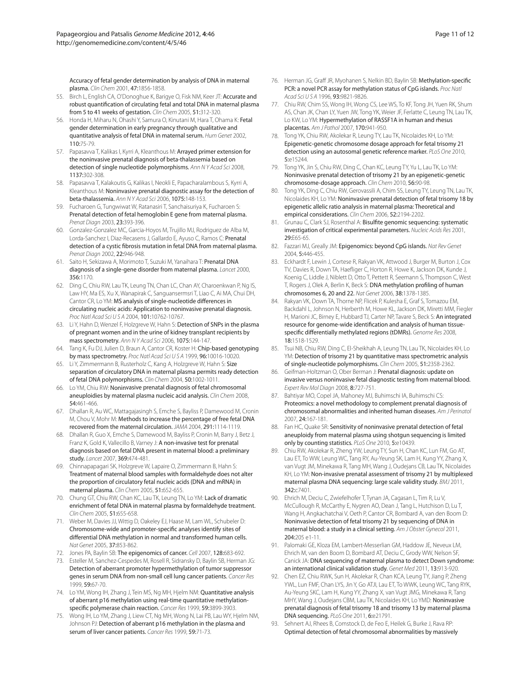Accuracy of fetal gender determination by analysis of DNA in maternal plasma. Clin Chem 2001, 47:1856-1858.

- 55. Birch L, English CA, O'Donoghue K, Barigye O, Fisk NM, Keer JT: Accurate and robust quantification of circulating fetal and total DNA in maternal plasma from 5 to 41 weeks of gestation. Clin Chem 2005, 51:312-320.
- 56. Honda H, Miharu N, Ohashi Y, Samura O, Kinutani M, Hara T, Ohama K: Fetal gender determination in early pregnancy through qualitative and quantitative analysis of fetal DNA in maternal serum. Hum Genet 2002, 110:75-79.
- 57. Papasavva T, Kalikas I, Kyrri A, Kleanthous M: Arrayed primer extension for the noninvasive prenatal diagnosis of beta-thalassemia based on detection of single nucleotide polymorphisms. Ann N Y Acad Sci 2008, 1137:302-308.
- Papasavva T, Kalakoutis G, Kalikas I, Neokli E, Papacharalambous S, Kyrri A, Kleanthous M: Noninvasive prenatal diagnostic assay for the detection of beta-thalassemia. Ann N Y Acad Sci 2006, 1075:148-153.
- 59. Fucharoen G, Tungwiwat W, Ratanasiri T, Sanchaisuriya K, Fucharoen S; Prenatal detection of fetal hemoglobin E gene from maternal plasma. Prenat Diagn 2003, 23:393-396.
- 60. Gonzalez-Gonzalez MC, Garcia-Hoyos M, Trujillo MJ, Rodriguez de Alba M, Lorda-Sanchez I, Diaz-Recasens J, Gallardo E, Ayuso C, Ramos C: Prenatal detection of a cystic fibrosis mutation in fetal DNA from maternal plasma. Prenat Diagn 2002, 22:946-948.
- 61. Saito H, Sekizawa A, Morimoto T, Suzuki M, Yanaihara T: Prenatal DNA diagnosis of a single-gene disorder from maternal plasma. Lancet 2000, 356:1170.
- 62. Ding C, Chiu RW, Lau TK, Leung TN, Chan LC, Chan AY, Charoenkwan P, Ng IS, Law HY, Ma ES, Xu X, Wanapirak C, Sanguansermsri T, Liao C, Ai MA, Chui DH, Cantor CR, Lo YM: MS analysis of single-nucleotide differences in circulating nucleic acids: Application to noninvasive prenatal diagnosis. Proc Natl Acad Sci U S A 2004, 101:10762-10767.
- 63. Li Y, Hahn D, Wenzel F, Holzgreve W, Hahn S: Detection of SNPs in the plasma of pregnant women and in the urine of kidney transplant recipients by mass spectrometry. Ann N Y Acad Sci 2006, 1075:144-147.
- 64. Tang K, Fu DJ, Julien D, Braun A, Cantor CR, Koster H: Chip-based genotyping by mass spectrometry. Proc Natl Acad Sci U S A 1999, 96:10016-10020.
- 65. Li Y, Zimmermann B, Rusterholz C, Kang A, Holzgreve W, Hahn S: Size separation of circulatory DNA in maternal plasma permits ready detection of fetal DNA polymorphisms. Clin Chem 2004, 50:1002-1011.
- 66. Lo YM, Chiu RW: Noninvasive prenatal diagnosis of fetal chromosomal aneuploidies by maternal plasma nucleic acid analysis. Clin Chem 2008, 54:461-466.
- 67. Dhallan R, Au WC, Mattagajasingh S, Emche S, Bayliss P, Damewood M, Cronin M, Chou V, Mohr M: Methods to increase the percentage of free fetal DNA recovered from the maternal circulation. JAMA 2004, 291:1114-1119.
- Dhallan R, Guo X, Emche S, Damewood M, Bayliss P, Cronin M, Barry J, Betz J, Franz K, Gold K, Vallecillo B, Varney J: A non-invasive test for prenatal diagnosis based on fetal DNA present in maternal blood: a preliminary study. Lancet 2007, 369:474-481.
- 69. Ch innapapagari SK, Holzgreve W, Lapaire O, Zimmermann B, Hahn S: Treatment of maternal blood samples with formaldehyde does not alter the proportion of circulatory fetal nucleic acids (DNA and mRNA) in maternal plasma. Clin Chem 2005, 51:652-655.
- 70. Chung GT, Chiu RW, Chan KC, Lau TK, Leung TN, Lo YM: Lack of dramatic enrichment of fetal DNA in maternal plasma by formaldehyde treatment. Clin Chem 2005, 51:655-658.
- 71. Weber M, Davies JJ, Wittig D, Oakeley EJ, Haase M, Lam WL, Schubeler D: Chromosome-wide and promoter-specific analyses identify sites of differential DNA methylation in normal and transformed human cells. Nat Genet 2005, 37:853-862.
- 72. Jones PA, Baylin SB: The epigenomics of cancer. Cell 2007, 128:683-692.
- 73. Esteller M, Sanchez-Cespedes M, Rosell R, Sidransky D, Baylin SB, Herman JG: Detection of aberrant promoter hypermethylation of tumor suppressor genes in serum DNA from non-small cell lung cancer patients. Cancer Res 1999, 59:67-70.
- 74. Lo YM, Wong IH, Zhang J, Tein MS, Ng MH, Hjelm NM: Quantitative analysis of aberrant p16 methylation using real-time quantitative methylationspecific polymerase chain reaction. Cancer Res 1999, 59:3899-3903.
- 75. Wong IH, Lo YM, Zhang J, Liew CT, Ng MH, Wong N, Lai PB, Lau WY, Hjelm NM, Johnson PJ: Detection of aberrant p16 methylation in the plasma and serum of liver cancer patients. Cancer Res 1999, 59:71-73.
- 76. Herman JG, Graff JR, Myohanen S, Nelkin BD, Baylin SB: Methylation-specific PCR: a novel PCR assay for methylation status of CpG islands. Proc Natl Acad Sci U S A 1996, 93:9821-9826.
- 77. Chiu RW, Chim SS, Wong IH, Wong CS, Lee WS, To KF, Tong JH, Yuen RK, Shum AS, Chan JK, Chan LY, Yuen JW, Tong YK, Weier JF, Ferlatte C, Leung TN, Lau TK, Lo KW, Lo YM: Hypermethylation of RASSF1A in human and rhesus placentas. Am J Pathol 2007, 170:941-950.
- 78. Tong YK, Chiu RW, Akolekar R, Leung TY, Lau TK, Nicolaides KH, Lo YM: Epigenetic-genetic chromosome dosage approach for fetal trisomy 21 detection using an autosomal genetic reference marker. PLoS One 2010, 5:e15244.
- 79. Tong YK, Jin S, Chiu RW, Ding C, Chan KC, Leung TY, Yu L, Lau TK, Lo YM: Noninvasive prenatal detection of trisomy 21 by an epigenetic-genetic chromosome-dosage approach. Clin Chem 2010, 56:90-98.
- 80. Tong YK, Ding C, Chiu RW, Gerovassili A, Chim SS, Leung TY, Leung TN, Lau TK, Nicolaides KH, Lo YM: Noninvasive prenatal detection of fetal trisomy 18 by epigenetic allelic ratio analysis in maternal plasma: Theoretical and empirical considerations. Clin Chem 2006, 52:2194-2202.
- Grunau C, Clark SJ, Rosenthal A: Bisulfite genomic sequencing: systematic investigation of critical experimental parameters. Nucleic Acids Res 2001, 29:E65-65.
- 82. Fazzari MJ, Greally JM: Epigenomics: beyond CpG islands. Nat Rev Genet 2004, 5:446-455.
- 83. Eckhardt F, Lewin J, Cortese R, Rakyan VK, Attwood J, Burger M, Burton J, Cox TV, Davies R, Down TA, Haefliger C, Horton R, Howe K, Jackson DK, Kunde J, Koenig C, Liddle J, Niblett D, Otto T, Pettett R, Seemann S, Thompson C, West T, Rogers J, Olek A, Berlin K, Beck S: DNA methylation profiling of human chromosomes 6, 20 and 22. Nat Genet 2006, 38:1378-1385.
- 84. Rakyan VK, Down TA, Thorne NP, Flicek P, Kulesha E, Graf S, Tomazou EM, Backdahl L, Johnson N, Herberth M, Howe KL, Jackson DK, Miretti MM, Fiegler H, Marioni JC, Birney E, Hubbard TJ, Carter NP, Tavare S, Beck S: An integrated resource for genome-wide identification and analysis of human tissuespecific differentially methylated regions (tDMRs). Genome Res 2008, 18:1518-1529.
- 85. Tsui NB, Chiu RW, Ding C, El-Sheikhah A, Leung TN, Lau TK, Nicolaides KH, Lo YM: Detection of trisomy 21 by quantitative mass spectrometric analysis of single-nucleotide polymorphisms. Clin Chem 2005, 51:2358-2362.
- 86. Geifman-Holtzman O, Ober Berman J: Prenatal diagnosis: update on invasive versus noninvasive fetal diagnostic testing from maternal blood. Expert Rev Mol Diagn 2008, 8:727-751.
- 87. Bahtiyar MO, Copel JA, Mahoney MJ, Buhimschi IA, Buhimschi CS: Proteomics: a novel methodology to complement prenatal diagnosis of chromosomal abnormalities and inherited human diseases. Am J Perinatol 2007, 24:167-181.
- 88. Fan HC, Quake SR: Sensitivity of noninvasive prenatal detection of fetal aneuploidy from maternal plasma using shotgun sequencing is limited only by counting statistics. PLoS One 2010, 5:e10439.
- 89. Chiu RW, Akolekar R, Zheng YW, Leung TY, Sun H, Chan KC, Lun FM, Go AT, Lau ET, To WW, Leung WC, Tang RY, Au-Yeung SK, Lam H, Kung YY, Zhang X, van Vugt JM, Minekawa R, Tang MH, Wang J, Oudejans CB, Lau TK, Nicolaides KH, Lo YM: Non-invasive prenatal assessment of trisomy 21 by multiplexed maternal plasma DNA sequencing: large scale validity study. BMJ 2011, 342:c7401.
- 90. Ehrich M, Deciu C, Zwiefelhofer T, Tynan JA, Cagasan L, Tim R, Lu V, McCullough R, McCarthy E, Nygren AO, Dean J, Tang L, Hutchison D, Lu T, Wang H, Angkachatchai V, Oeth P, Cantor CR, Bombard A, van den Boom D: Noninvasive detection of fetal trisomy 21 by sequencing of DNA in maternal blood: a study in a clinical setting. Am J Obstet Gynecol 2011, 204:205 e1-11.
- 91. Palomaki GE, Kloza EM, Lambert-Messerlian GM, Haddow JE, Neveux LM, Ehrich M, van den Boom D, Bombard AT, Deciu C, Grody WW, Nelson SF, Canick JA: DNA sequencing of maternal plasma to detect Down syndrome: an international clinical validation study. Genet Med 2011, 13:913-920.
- 92. Chen EZ, Chiu RWK, Sun H, Akolekar R, Chan KCA, Leung TY, Jiang P, Zheng YWL, Lun FMF, Chan LYS, Jin Y, Go ATJI, Lau ET, To WWK, Leung WC, Tang RYK, Au-Yeung SKC, Lam H, Kung YY, Zhang X, van Vugt JMG, Minekawa R, Tang MHY, Wang J, Oudejans CBM, Lau TK, Nicolaides KH, Lo YMD: Noninvasive prenatal diagnosis of fetal trisomy 18 and trisomy 13 by maternal plasma DNA sequencing. PLoS One 2011, 6:e21791.
- 93. Sehnert AJ, Rhees B, Comstock D, de Feo E, Heilek G, Burke J, Rava RP: Optimal detection of fetal chromosomal abnormalities by massively